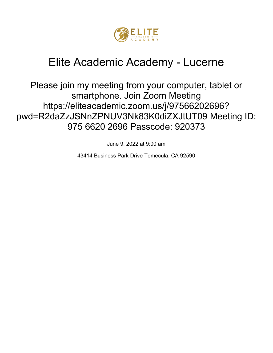

# Elite Academic Academy - Lucerne

Please join my meeting from your computer, tablet or smartphone. Join Zoom Meeting https://eliteacademic.zoom.us/j/97566202696? pwd=R2daZzJSNnZPNUV3Nk83K0diZXJtUT09 Meeting ID: 975 6620 2696 Passcode: 920373

June 9, 2022 at 9:00 am

43414 Business Park Drive Temecula, CA 92590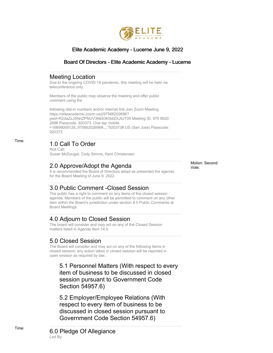

#### Elite Academic Academy - Lucerne June 9, 2022

#### Board Of Directors - Elite Academic Academy - Lucerne

#### Meeting Location

Due to the ongoing COVID-19 pandemic, this meeting will be held via teleconference only.

Members of the public may observe the meeting and offer public comment using the

following dial-in numbers and/or internet link:Join Zoom Meeting https://eliteacademic.zoom.us/j/97566202696? pwd=R2daZzJSNnZPNUV3Nk83K0diZXJtUT09 Meeting ID: 975 6620 2696 Passcode: 920373. One tap mobile +16699009128,,97566202696#,,,,\*920373# US (San Jose) Passcode: 920373

# Time: 1.0 Call To Order

Roll Call: Susan McDougal, Cody Simms, Kent Christensen

## 2.0 Approve/Adopt the Agenda

It is recommended the Board of Directors adopt as presented the agenda for the Board Meeting of June 9, 2022.

## 3.0 Public Comment -Closed Session

The public has a right to comment on any items of the closed session agenda. Members of the public will be permitted to comment on any other item within the Board's jurisdiction under section 8.0 Public Comments at Board Meetings.

## 4.0 Adjourn to Closed Session

The board will consider and may act on any of the Closed Session matters listed in Agenda Item 14.0.

## 5.0 Closed Session

The Board will consider and may act on any of the following items in closed session; any action taken in closed session will be reported in open session as required by law.

5.1 Personnel Matters (With respect to every item of business to be discussed in closed session pursuant to Government Code Section 54957.6)

5.2 Employer/Employee Relations (With respect to every item of business to be discussed in closed session pursuant to Government Code Section 54957.6)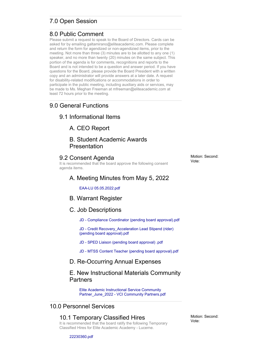# 7.0 Open Session

#### 8.0 Public Comment

Please submit a request to speak to the Board of Directors. Cards can be asked for by emailing galtamirano@eliteacademic.com. Please complete and return the form for agendized or non-agendizied items, prior to the meeting. Not more than three (3) minutes are to be allotted to any one (1) speaker, and no more than twenty (20) minutes on the same subject. This portion of the agenda is for comments, recognitions and reports to the Board and is not intended to be a question and answer period. If you have questions for the Board, please provide the Board President with a written copy and an administrator will provide answers at a later date. A request for disability-related modifications or accommodations in order to participate in the public meeting, including auxiliary aids or services, may be made to Ms. Meghan Freeman at mfreeman@eliteacademic.com at least 72 hours prior to the meeting.

#### 9.0 General Functions

#### 9.1 Informational Items

A. CEO Report

#### B. Student Academic Awards Presentation

#### 9.2 Consent Agenda

It is recommended that the board approve the following consent agenda items.

# A. Meeting Minutes from May 5, 2022

EAA-LU 05.05.2022.pdf

#### B. Warrant Register

#### C. Job Descriptions

JD - Compliance Coordinator (pending board approval).pdf

JD - Credit Recovery\_Acceleration Lead Stipend (rider) (pending board approval).pdf

- JD SPED Liaison (pending board approval) .pdf
- JD MTSS Content Teacher (pending board approval).pdf

#### D. Re-Occurring Annual Expenses

#### E. New Instructional Materials Community **Partners**

Elite Academic Instructional Service Community Partner\_June\_2022 - VCI Community Partners.pdf

#### 10.0 Personnel Services

#### 10.1 Temporary Classified Hires It is recommended that the board ratify the following Temporary Classified Hires for Elite Academic Academy - Lucerne.

Motion: Second: Vote: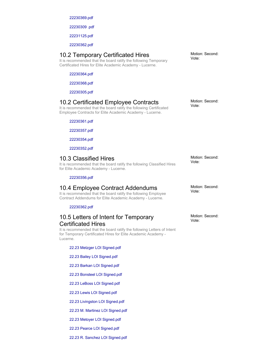22230369.pdf

22230309 .pdf

22231125.pdf

22230362.pdf

#### 10.2 Temporary Certificated Hires

It is recommended that the board ratify the following Temporary Certificated Hires for Elite Academic Academy - Lucerne.

22230364.pdf

22230368.pdf

22230305.pdf

#### 10.2 Certificated Employee Contracts

It is recommended that the board ratify the following Certificated Employee Contracts for Elite Academic Academy - Lucerne.

22230361.pdf

22230357.pdf

22230354.pdf

22230352.pdf

#### 10.3 Classified Hires

It is recommended that the board ratify the following Classified Hires for Elite Academic Academy - Lucerne.

22230356.pdf

#### 10.4 Employee Contract Addendums

It is recommended that the board ratify the following Employee Contract Addendums for Elite Academic Academy - Lucerne.

22230362.pdf

#### 10.5 Letters of Intent for Temporary Certificated Hires

It is recommended that the board ratify the following Letters of Intent for Temporary Certificated Hires for Elite Academic Academy - Lucerne.

22.23 Metzger LOI Signed.pdf

- 22.23 Bailey LOI Signed.pdf
- 22.23 Barkan LOI Signed.pdf
- 22.23 Bonsteel LOI Signed.pdf
- 22.23 LeBoss LOI Signed.pdf
- 22.23 Lewis LOI Signed.pdf
- 22.23 Livingston LOI Signed.pdf
- 22.23 M. Martinez LOI Signed.pdf
- 22.23 Metoyer LOI Signed.pdf
- 22.23 Pearce LOI Signed.pdf

22.23 R. Sanchez LOI Signed.pdf

Motion: Second: Vote:

Motion: Second: Vote:

Motion: Second: Vote:

Motion: Second: Vote: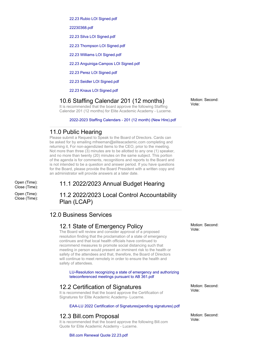22.23 Rubio LOI Signed.pdf

22230368.pdf

22.23 Silva LOI Signed.pdf

22.23 Thompson LOI Signed.pdf

22.23 Williams LOI Signed.pdf

22.23 Anguiniga-Campos LOI Signed.pdf

22.23 Perez LOI Signed.pdf

22.23 Seidler LOI Signed.pdf

22.23 Knaus LOI Signed.pdf

#### 10.6 Staffing Calendar 201 (12 months)

It is recommended that the board approve the following Staffing Calendar 201 (12 months) for Elite Academic Academy - Lucerne.

2022-2023 Staffing Calendars - 201 (12 month) (New Hire).pdf

#### 11.0 Public Hearing

Please submit a Request to Speak to the Board of Directors. Cards can be asked for by emailing mfreeman@eliteacademic.com completing and returning it, For non-agendizied items to the CEO, prior to the meeting. Not more than three (3) minutes are to be allotted to any one (1) speaker, and no more than twenty (20) minutes on the same subject. This portion of the agenda is for comments, recognitions and reports to the Board and is not intended to be a question and answer period. If you have questions for the Board, please provide the Board President with a written copy and an administrator will provide answers at a later date.

Open (Time): Close (Time):

Open (Time): Close (Time):

#### 11.1 2022/2023 Annual Budget Hearing

#### 11.2 2022/2023 Local Control Accountability Plan (LCAP)

#### 12.0 Business Services

#### 12.1 State of Emergency Policy

The Board will review and consider approval of a proposed resolution finding that the proclamation of a state of emergency continues and that local health officials have continued to recommend measures to promote social distancing such that meeting in person would present an imminent risk to the health or safety of the attendees and that, therefore, the Board of Directors will continue to meet remotely in order to ensure the health and safety of attendees.

LU-Resolution recognizing a state of emergency and authorizing teleconferenced meetings pursuant to AB 361.pdf

#### 12.2 Certification of Signatures

It is recommended that the board approve the Certification of Signatures for Elite Academic Academy- Lucerne.

#### EAA-LU 2022 Certification of Signatures(pending signatures).pdf

#### 12.3 Bill.com Proposal

It is recommended that the board approve the following Bill.com Quote for Elite Academic Academy - Lucerne.

Motion: Second: Vote:

Motion: Second: Vote:

Motion: Second:

Vote:

Bill.com Renewal Quote 22.23.pdf